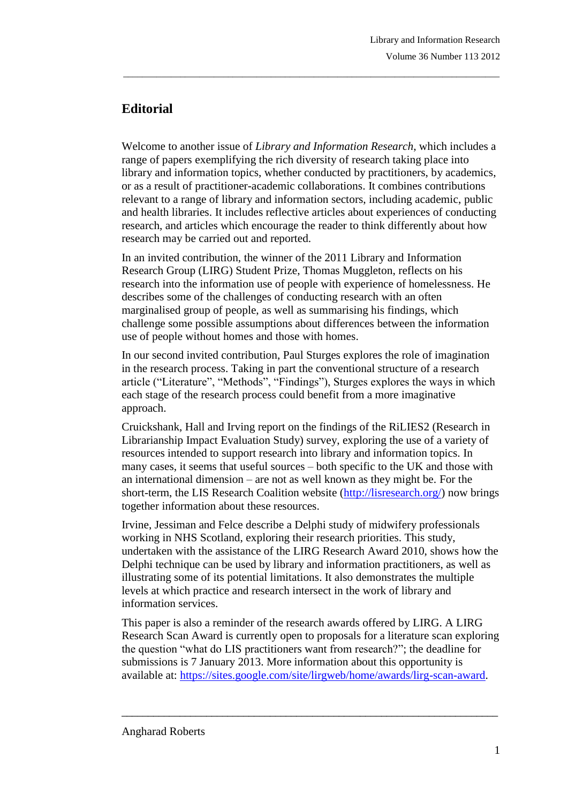## **Editorial**

Welcome to another issue of *Library and Information Research*, which includes a range of papers exemplifying the rich diversity of research taking place into library and information topics, whether conducted by practitioners, by academics, or as a result of practitioner-academic collaborations. It combines contributions relevant to a range of library and information sectors, including academic, public and health libraries. It includes reflective articles about experiences of conducting research, and articles which encourage the reader to think differently about how research may be carried out and reported.

\_\_\_\_\_\_\_\_\_\_\_\_\_\_\_\_\_\_\_\_\_\_\_\_\_\_\_\_\_\_\_\_\_\_\_\_\_\_\_\_\_\_\_\_\_\_\_\_\_\_\_\_\_\_\_\_\_\_\_\_\_\_\_\_\_\_\_\_\_\_\_\_\_\_\_\_\_\_\_

In an invited contribution, the winner of the 2011 Library and Information Research Group (LIRG) Student Prize, Thomas Muggleton, reflects on his research into the information use of people with experience of homelessness. He describes some of the challenges of conducting research with an often marginalised group of people, as well as summarising his findings, which challenge some possible assumptions about differences between the information use of people without homes and those with homes.

In our second invited contribution, Paul Sturges explores the role of imagination in the research process. Taking in part the conventional structure of a research article ("Literature", "Methods", "Findings"), Sturges explores the ways in which each stage of the research process could benefit from a more imaginative approach.

Cruickshank, Hall and Irving report on the findings of the RiLIES2 (Research in Librarianship Impact Evaluation Study) survey, exploring the use of a variety of resources intended to support research into library and information topics. In many cases, it seems that useful sources – both specific to the UK and those with an international dimension – are not as well known as they might be. For the short-term, the LIS Research Coalition website [\(http://lisresearch.org/\)](http://lisresearch.org/) now brings together information about these resources.

Irvine, Jessiman and Felce describe a Delphi study of midwifery professionals working in NHS Scotland, exploring their research priorities. This study, undertaken with the assistance of the LIRG Research Award 2010, shows how the Delphi technique can be used by library and information practitioners, as well as illustrating some of its potential limitations. It also demonstrates the multiple levels at which practice and research intersect in the work of library and information services.

This paper is also a reminder of the research awards offered by LIRG. A LIRG Research Scan Award is currently open to proposals for a literature scan exploring the question "what do LIS practitioners want from research?"; the deadline for submissions is 7 January 2013. More information about this opportunity is available at: [https://sites.google.com/site/lirgweb/home/awards/lirg-scan-award.](https://sites.google.com/site/lirgweb/home/awards/lirg-scan-award)

\_\_\_\_\_\_\_\_\_\_\_\_\_\_\_\_\_\_\_\_\_\_\_\_\_\_\_\_\_\_\_\_\_\_\_\_\_\_\_\_\_\_\_\_\_\_\_\_\_\_\_\_\_\_\_\_\_\_\_\_\_\_\_\_\_\_\_\_\_\_\_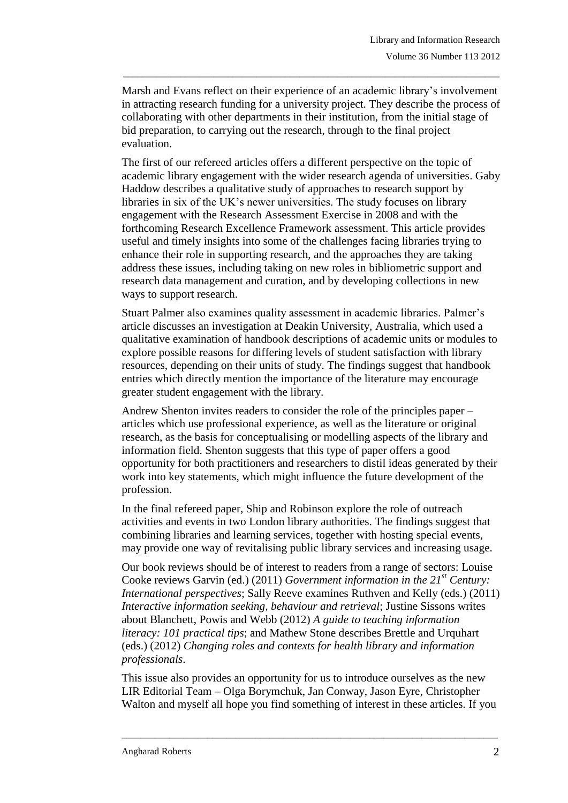Marsh and Evans reflect on their experience of an academic library's involvement in attracting research funding for a university project. They describe the process of collaborating with other departments in their institution, from the initial stage of bid preparation, to carrying out the research, through to the final project evaluation.

\_\_\_\_\_\_\_\_\_\_\_\_\_\_\_\_\_\_\_\_\_\_\_\_\_\_\_\_\_\_\_\_\_\_\_\_\_\_\_\_\_\_\_\_\_\_\_\_\_\_\_\_\_\_\_\_\_\_\_\_\_\_\_\_\_\_\_\_\_\_\_\_\_\_\_\_\_\_\_

The first of our refereed articles offers a different perspective on the topic of academic library engagement with the wider research agenda of universities. Gaby Haddow describes a qualitative study of approaches to research support by libraries in six of the UK's newer universities. The study focuses on library engagement with the Research Assessment Exercise in 2008 and with the forthcoming Research Excellence Framework assessment. This article provides useful and timely insights into some of the challenges facing libraries trying to enhance their role in supporting research, and the approaches they are taking address these issues, including taking on new roles in bibliometric support and research data management and curation, and by developing collections in new ways to support research.

Stuart Palmer also examines quality assessment in academic libraries. Palmer's article discusses an investigation at Deakin University, Australia, which used a qualitative examination of handbook descriptions of academic units or modules to explore possible reasons for differing levels of student satisfaction with library resources, depending on their units of study. The findings suggest that handbook entries which directly mention the importance of the literature may encourage greater student engagement with the library.

Andrew Shenton invites readers to consider the role of the principles paper – articles which use professional experience, as well as the literature or original research, as the basis for conceptualising or modelling aspects of the library and information field. Shenton suggests that this type of paper offers a good opportunity for both practitioners and researchers to distil ideas generated by their work into key statements, which might influence the future development of the profession.

In the final refereed paper, Ship and Robinson explore the role of outreach activities and events in two London library authorities. The findings suggest that combining libraries and learning services, together with hosting special events, may provide one way of revitalising public library services and increasing usage.

Our book reviews should be of interest to readers from a range of sectors: Louise Cooke reviews Garvin (ed.) (2011) *Government information in the 21st Century: International perspectives*; Sally Reeve examines Ruthven and Kelly (eds.) (2011) *Interactive information seeking, behaviour and retrieval*; Justine Sissons writes about Blanchett, Powis and Webb (2012) *A guide to teaching information literacy: 101 practical tips*; and Mathew Stone describes Brettle and Urquhart (eds.) (2012) *Changing roles and contexts for health library and information professionals*.

This issue also provides an opportunity for us to introduce ourselves as the new LIR Editorial Team – Olga Borymchuk, Jan Conway, Jason Eyre, Christopher Walton and myself all hope you find something of interest in these articles. If you

\_\_\_\_\_\_\_\_\_\_\_\_\_\_\_\_\_\_\_\_\_\_\_\_\_\_\_\_\_\_\_\_\_\_\_\_\_\_\_\_\_\_\_\_\_\_\_\_\_\_\_\_\_\_\_\_\_\_\_\_\_\_\_\_\_\_\_\_\_\_\_\_\_\_\_\_\_\_\_